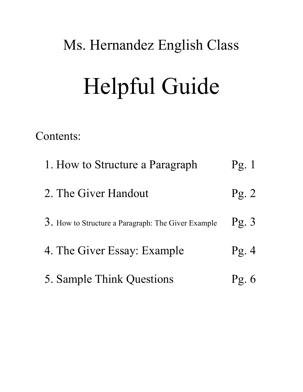### Ms. Hernandez English Class

# Helpful Guide

Contents:

| 1. How to Structure a Paragraph                    | $\Gamma$ g. 1   |
|----------------------------------------------------|-----------------|
| 2. The Giver Handout                               | $\text{Pg. 2}$  |
| 3. How to Structure a Paragraph: The Giver Example | $\text{Pg. } 3$ |
| 4. The Giver Essay: Example                        | Pg.4            |
| 5. Sample Think Questions                          | Pg.             |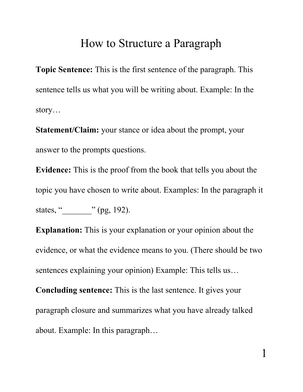### How to Structure a Paragraph

**Topic Sentence:** This is the first sentence of the paragraph. This sentence tells us what you will be writing about. Example: In the story…

**Statement/Claim:** your stance or idea about the prompt, your answer to the prompts questions.

**Evidence:** This is the proof from the book that tells you about the topic you have chosen to write about. Examples: In the paragraph it states, "
yetates, "
(pg, 192).

**Explanation:** This is your explanation or your opinion about the evidence, or what the evidence means to you. (There should be two sentences explaining your opinion) Example: This tells us…

**Concluding sentence:** This is the last sentence. It gives your paragraph closure and summarizes what you have already talked about. Example: In this paragraph…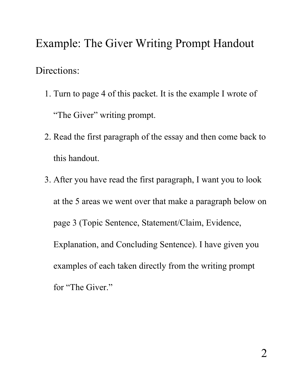## Example: The Giver Writing Prompt Handout Directions:

- 1. Turn to page 4 of this packet. It is the example I wrote of "The Giver" writing prompt.
- 2. Read the first paragraph of the essay and then come back to this handout.
- 3. After you have read the first paragraph, I want you to look at the 5 areas we went over that make a paragraph below on page 3 (Topic Sentence, Statement/Claim, Evidence, Explanation, and Concluding Sentence). I have given you examples of each taken directly from the writing prompt for "The Giver."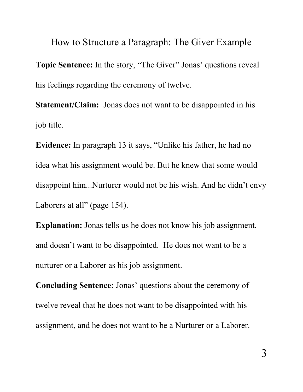How to Structure a Paragraph: The Giver Example **Topic Sentence:** In the story, "The Giver" Jonas' questions reveal his feelings regarding the ceremony of twelve.

**Statement/Claim:** Jonas does not want to be disappointed in his job title.

**Evidence:** In paragraph 13 it says, "Unlike his father, he had no idea what his assignment would be. But he knew that some would disappoint him...Nurturer would not be his wish. And he didn't envy Laborers at all" (page 154).

**Explanation:** Jonas tells us he does not know his job assignment, and doesn't want to be disappointed. He does not want to be a nurturer or a Laborer as his job assignment.

**Concluding Sentence:** Jonas' questions about the ceremony of twelve reveal that he does not want to be disappointed with his assignment, and he does not want to be a Nurturer or a Laborer.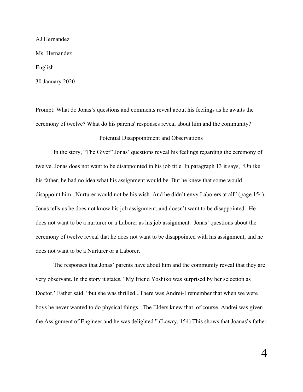AJ Hernandez

Ms. Hernandez

English

30 January 2020

Prompt: What do Jonas's questions and comments reveal about his feelings as he awaits the ceremony of twelve? What do his parents' responses reveal about him and the community? Potential Disappointment and Observations

In the story, "The Giver" Jonas' questions reveal his feelings regarding the ceremony of twelve. Jonas does not want to be disappointed in his job title. In paragraph 13 it says, "Unlike his father, he had no idea what his assignment would be. But he knew that some would disappoint him...Nurturer would not be his wish. And he didn't envy Laborers at all" (page 154). Jonas tells us he does not know his job assignment, and doesn't want to be disappointed. He does not want to be a nurturer or a Laborer as his job assignment. Jonas' questions about the ceremony of twelve reveal that he does not want to be disappointed with his assignment, and he does not want to be a Nurturer or a Laborer.

The responses that Jonas' parents have about him and the community reveal that they are very observant. In the story it states, "My friend Yoshiko was surprised by her selection as Doctor,' Father said, "but she was thrilled...There was Andrei-I remember that when we were boys he never wanted to do physical things...The Elders knew that, of course. Andrei was given the Assignment of Engineer and he was delighted." (Lowry, 154) This shows that Joanas's father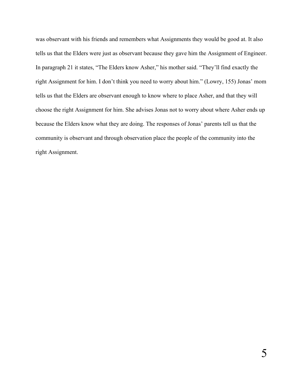was observant with his friends and remembers what Assignments they would be good at. It also tells us that the Elders were just as observant because they gave him the Assignment of Engineer. In paragraph 21 it states, "The Elders know Asher," his mother said. "They'll find exactly the right Assignment for him. I don't think you need to worry about him." (Lowry, 155) Jonas' mom tells us that the Elders are observant enough to know where to place Asher, and that they will choose the right Assignment for him. She advises Jonas not to worry about where Asher ends up because the Elders know what they are doing. The responses of Jonas' parents tell us that the community is observant and through observation place the people of the community into the right Assignment.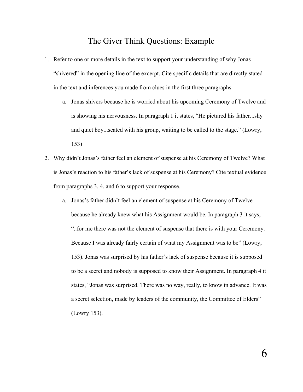#### The Giver Think Questions: Example

- 1. Refer to one or more details in the text to support your understanding of why Jonas "shivered" in the opening line of the excerpt. Cite specific details that are directly stated in the text and inferences you made from clues in the first three paragraphs.
	- a. Jonas shivers because he is worried about his upcoming Ceremony of Twelve and is showing his nervousness. In paragraph 1 it states, "He pictured his father...shy and quiet boy...seated with his group, waiting to be called to the stage." (Lowry, 153)
- 2. Why didn't Jonas's father feel an element of suspense at his Ceremony of Twelve? What is Jonas's reaction to his father's lack of suspense at his Ceremony? Cite textual evidence from paragraphs 3, 4, and 6 to support your response.
	- a. Jonas's father didn't feel an element of suspense at his Ceremony of Twelve because he already knew what his Assignment would be. In paragraph 3 it says, "..for me there was not the element of suspense that there is with your Ceremony. Because I was already fairly certain of what my Assignment was to be" (Lowry, 153). Jonas was surprised by his father's lack of suspense because it is supposed to be a secret and nobody is supposed to know their Assignment. In paragraph 4 it states, "Jonas was surprised. There was no way, really, to know in advance. It was a secret selection, made by leaders of the community, the Committee of Elders" (Lowry 153).